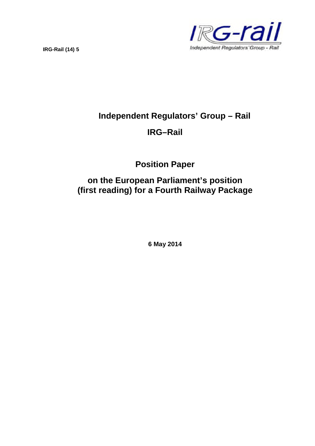**IRG-Rail (14) 5**



# **Independent Regulators' Group – Rail**

# **IRG–Rail**

**Position Paper**

**on the European Parliament's position (first reading) for a Fourth Railway Package**

**6 May 2014**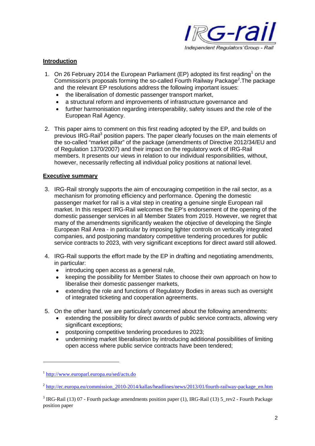

## **Introduction**

- 1. On 26 February 2014 the European Parliament (EP) adopted its first reading<sup>1</sup> on the Commission's proposals forming the so-called Fourth Railway Package<sup>2</sup>. The package and the relevant EP resolutions address the following important issues:
	- the liberalisation of domestic passenger transport market,
	- a structural reform and improvements of infrastructure governance and
	- further harmonisation regarding interoperability, safety issues and the role of the European Rail Agency.
- 2. This paper aims to comment on this first reading adopted by the EP, and builds on previous IRG-Rail<sup>3</sup> position papers. The paper clearly focuses on the main elements of the so-called "market pillar" of the package (amendments of Directive 2012/34/EU and of Regulation 1370/2007) and their impact on the regulatory work of IRG-Rail members. It presents our views in relation to our individual responsibilities, without, however, necessarily reflecting all individual policy positions at national level.

### **Executive summary**

- 3. IRG-Rail strongly supports the aim of encouraging competition in the rail sector, as a mechanism for promoting efficiency and performance. Opening the domestic passenger market for rail is a vital step in creating a genuine single European rail market. In this respect IRG-Rail welcomes the EP's endorsement of the opening of the domestic passenger services in all Member States from 2019. However, we regret that many of the amendments significantly weaken the objective of developing the Single European Rail Area - in particular by imposing lighter controls on vertically integrated companies, and postponing mandatory competitive tendering procedures for public service contracts to 2023, with very significant exceptions for direct award still allowed.
- 4. IRG-Rail supports the effort made by the EP in drafting and negotiating amendments, in particular:
	- introducing open access as a general rule,
	- keeping the possibility for Member States to choose their own approach on how to liberalise their domestic passenger markets,
	- extending the role and functions of Regulatory Bodies in areas such as oversight of integrated ticketing and cooperation agreements.
- 5. On the other hand, we are particularly concerned about the following amendments:
	- extending the possibility for direct awards of public service contracts, allowing very significant exceptions;
	- postponing competitive tendering procedures to 2023;
	- undermining market liberalisation by introducing additional possibilities of limiting open access where public service contracts have been tendered;

<sup>&</sup>lt;sup>1</sup> http://www.europarl.europa.eu/sed/acts.do

<sup>&</sup>lt;sup>2</sup> http://ec.europa.eu/commission\_2010-2014/kallas/headlines/news/2013/01/fourth-railway-package\_en.htm

 $3$  IRG-Rail (13) 07 - Fourth package amendments position paper (1), IRG-Rail (13)  $5$ \_rev2 - Fourth Package position paper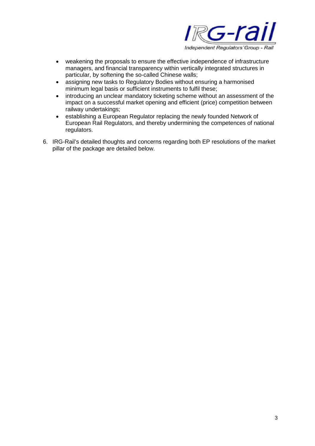

- weakening the proposals to ensure the effective independence of infrastructure managers, and financial transparency within vertically integrated structures in particular, by softening the so-called Chinese walls;
- assigning new tasks to Regulatory Bodies without ensuring a harmonised minimum legal basis or sufficient instruments to fulfil these;
- introducing an unclear mandatory ticketing scheme without an assessment of the impact on a successful market opening and efficient (price) competition between railway undertakings;
- establishing a European Regulator replacing the newly founded Network of European Rail Regulators, and thereby undermining the competences of national regulators.
- 6. IRG-Rail's detailed thoughts and concerns regarding both EP resolutions of the market pillar of the package are detailed below.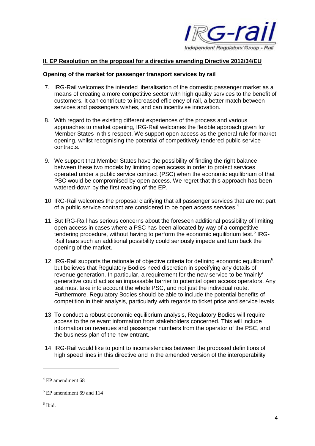

### **II. EP Resolution on the proposal for a directive amending Directive 2012/34/EU**

#### **Opening of the market for passenger transport services by rail**

- 7. IRG-Rail welcomes the intended liberalisation of the domestic passenger market as a means of creating a more competitive sector with high quality services to the benefit of customers. It can contribute to increased efficiency of rail, a better match between services and passengers wishes, and can incentivise innovation.
- 8. With regard to the existing different experiences of the process and various approaches to market opening, IRG-Rail welcomes the flexible approach given for Member States in this respect. We support open access as the general rule for market opening, whilst recognising the potential of competitively tendered public service contracts.
- 9. We support that Member States have the possibility of finding the right balance between these two models by limiting open access in order to protect services operated under a public service contract (PSC) when the economic equilibrium of that PSC would be compromised by open access. We regret that this approach has been watered-down by the first reading of the EP.
- 10. IRG-Rail welcomes the proposal clarifying that all passenger services that are not part of a public service contract are considered to be open access services.<sup>4</sup>
- 11. But IRG-Rail has serious concerns about the foreseen additional possibility of limiting open access in cases where a PSC has been allocated by way of a competitive tendering procedure, without having to perform the economic equilibrium test.<sup>5</sup> IRG-Rail fears such an additional possibility could seriously impede and turn back the opening of the market.
- 12. IRG-Rail supports the rationale of objective criteria for defining economic equilibrium<sup>6</sup>, but believes that Regulatory Bodies need discretion in specifying any details of revenue generation. In particular, a requirement for the new service to be 'mainly' generative could act as an impassable barrier to potential open access operators. Any test must take into account the whole PSC, and not just the individual route. Furthermore, Regulatory Bodies should be able to include the potential benefits of competition in their analysis, particularly with regards to ticket price and service levels.
- 13. To conduct a robust economic equilibrium analysis, Regulatory Bodies will require access to the relevant information from stakeholders concerned. This will include information on revenues and passenger numbers from the operator of the PSC, and the business plan of the new entrant.
- 14. IRG-Rail would like to point to inconsistencies between the proposed definitions of high speed lines in this directive and in the amended version of the interoperability

 $4$  EP amendment 68

 $<sup>5</sup>$  EP amendment 69 and 114</sup>

<sup>6</sup> Ibid.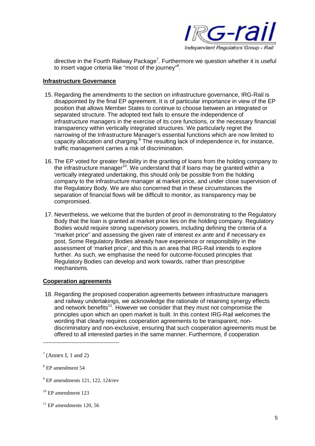

directive in the Fourth Railway Package<sup>7</sup>. Furthermore we question whether it is useful to insert vague criteria like "most of the journey"<sup>8</sup>.

#### **Infrastructure Governance**

- 15. Regarding the amendments to the section on infrastructure governance, IRG-Rail is disappointed by the final EP agreement. It is of particular importance in view of the EP position that allows Member States to continue to choose between an integrated or separated structure. The adopted text fails to ensure the independence of infrastructure managers in the exercise of its core functions, or the necessary financial transparency within vertically integrated structures. We particularly regret the narrowing of the Infrastructure Manager's essential functions which are now limited to capacity allocation and charging. $9$  The resulting lack of independence in, for instance, traffic management carries a risk of discrimination.
- 16. The EP voted for greater flexibility in the granting of loans from the holding company to the infrastructure manager<sup>10</sup>. We understand that if loans may be granted within a vertically integrated undertaking, this should only be possible from the holding company to the infrastructure manager at market price, and under close supervision of the Regulatory Body. We are also concerned that in these circumstances the separation of financial flows will be difficult to monitor, as transparency may be compromised.
- 17. Nevertheless, we welcome that the burden of proof in demonstrating to the Regulatory Body that the loan is granted at market price lies on the holding company. Regulatory Bodies would require strong supervisory powers, including defining the criteria of a "market price" and assessing the given rate of interest *ex ante* and if necessary ex post, Some Regulatory Bodies already have experience or responsibility in the assessment of 'market price', and this is an area that IRG-Rail intends to explore further. As such, we emphasise the need for outcome-focused principles that Regulatory Bodies can develop and work towards, rather than prescriptive mechanisms.

### **Cooperation agreements**

18. Regarding the proposed cooperation agreements between infrastructure managers and railway undertakings, we acknowledge the rationale of retaining synergy effects and network benefits<sup>11</sup>. However we consider that they must not compromise the principles upon which an open market is built. In this context IRG-Rail welcomes the wording that clearly requires cooperation agreements to be transparent, nondiscriminatory and non-exclusive, ensuring that such cooperation agreements must be offered to all interested parties in the same manner. Furthermore, if cooperation

 $11$  EP amendments 120, 56

 $7$  (Annex I, 1 and 2)

<sup>8</sup> EP amendment 54

 $9$  EP amendments 121, 122, 124/rev

<sup>&</sup>lt;sup>10</sup> EP amendment 123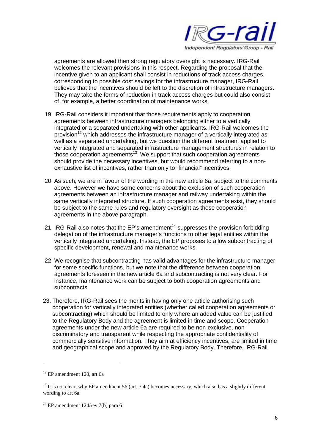

agreements are allowed then strong regulatory oversight is necessary. IRG-Rail welcomes the relevant provisions in this respect. Regarding the proposal that the incentive given to an applicant shall consist in reductions of track access charges, corresponding to possible cost savings for the infrastructure manager, IRG-Rail believes that the incentives should be left to the discretion of infrastructure managers. They may take the forms of reduction in track access charges but could also consist of, for example, a better coordination of maintenance works.

- 19. IRG-Rail considers it important that those requirements apply to cooperation agreements between infrastructure managers belonging either to a vertically integrated or a separated undertaking with other applicants. IRG-Rail welcomes the provision<sup>12</sup> which addresses the infrastructure manager of a vertically integrated as well as a separated undertaking, but we question the different treatment applied to vertically integrated and separated infrastructure management structures in relation to those cooperation agreements<sup>13</sup>. We support that such cooperation agreements should provide the necessary incentives, but would recommend referring to a nonexhaustive list of incentives, rather than only to "financial" incentives.
- 20. As such, we are in favour of the wording in the new article 6a, subject to the comments above. However we have some concerns about the exclusion of such cooperation agreements between an infrastructure manager and railway undertaking within the same vertically integrated structure. If such cooperation agreements exist, they should be subject to the same rules and regulatory oversight as those cooperation agreements in the above paragraph.
- 21. IRG-Rail also notes that the EP's amendment<sup>14</sup> suppresses the provision forbidding delegation of the infrastructure manager's functions to other legal entities within the vertically integrated undertaking. Instead, the EP proposes to allow subcontracting of specific development, renewal and maintenance works.
- 22. We recognise that subcontracting has valid advantages for the infrastructure manager for some specific functions, but we note that the difference between cooperation agreements foreseen in the new article 6a and subcontracting is not very clear. For instance, maintenance work can be subject to both cooperation agreements and subcontracts.
- 23. Therefore, IRG-Rail sees the merits in having only one article authorising such cooperation for vertically integrated entities (whether called cooperation agreements or subcontracting) which should be limited to only where an added value can be justified to the Regulatory Body and the agreement is limited in time and scope. Cooperation agreements under the new article 6a are required to be non-exclusive, nondiscriminatory and transparent while respecting the appropriate confidentiality of commercially sensitive information. They aim at efficiency incentives, are limited in time and geographical scope and approved by the Regulatory Body. Therefore, IRG-Rail

 $12$  EP amendment 120, art 6a

<sup>&</sup>lt;sup>13</sup> It is not clear, why EP amendment 56 (art. 7 4a) becomes necessary, which also has a slightly different wording to art 6a.

 $14$  EP amendment 124/rev. 7(b) para 6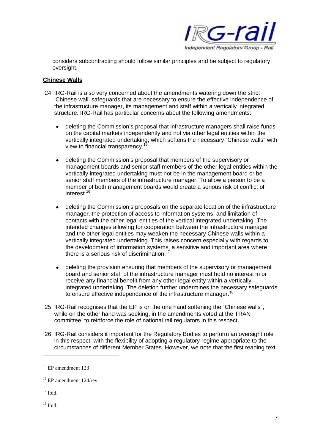

considers subcontracting should follow similar principles and be subject to regulatory oversight.

#### **Chinese Walls**

- 24. IRG-Rail is also very concerned about the amendments watering down the strict 'Chinese wall' safeguards that are necessary to ensure the effective independence of the infrastructure manager, its management and staff within a vertically integrated structure. IRG-Rail has particular concerns about the following amendments:
	- deleting the Commission's proposal that infrastructure managers shall raise funds on the capital markets independently and not via other legal entities within the vertically integrated undertaking, which softens the necessary "Chinese walls" with view to financial transparency.
	- deleting the Commission's proposal that members of the supervisory or management boards and senior staff members of the other legal entities within the vertically integrated undertaking must not be in the management board or be senior staff members of the infrastructure manager. To allow a person to be a member of both management boards would create a serious risk of conflict of interest.<sup>16</sup>
	- deleting the Commission's proposals on the separate location of the infrastructure manager, the protection of access to information systems, and limitation of contacts with the other legal entities of the vertical integrated undertaking. The intended changes allowing for cooperation between the infrastructure manager and the other legal entities may weaken the necessary Chinese walls within a vertically integrated undertaking. This raises concern especially with regards to the development of information systems, a sensitive and important area where there is a serious risk of discrimination.<sup>17</sup>
	- deleting the provision ensuring that members of the supervisory or management board and senior staff of the infrastructure manager must hold no interest in or receive any financial benefit from any other legal entity within a vertically integrated undertaking. The deletion further undermines the necessary safeguards to ensure effective independence of the infrastructure manager.<sup>18</sup>
- 25. IRG-Rail recognises that the EP is on the one hand softening the "Chinese walls", while on the other hand was seeking, in the amendments voted at the TRAN committee, to reinforce the role of national rail regulators in this respect.
- 26. IRG-Rail considers it important for the Regulatory Bodies to perform an oversight role in this respect, with the flexibility of adopting a regulatory regime appropriate to the circumstances of different Member States. However, we note that the first reading text

 $15$  EP amendment 123

<sup>16</sup> EP amendment 124/rev

 $17$  Ibid.

 $18$  Ibid.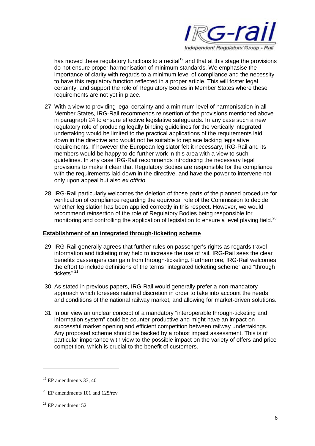

has moved these regulatory functions to a recital<sup>19</sup> and that at this stage the provisions do not ensure proper harmonisation of minimum standards. We emphasise the importance of clarity with regards to a minimum level of compliance and the necessity to have this regulatory function reflected in a proper article. This will foster legal certainty, and support the role of Regulatory Bodies in Member States where these requirements are not yet in place.

- 27. With a view to providing legal certainty and a minimum level of harmonisation in all Member States, IRG-Rail recommends reinsertion of the provisions mentioned above in paragraph 24 to ensure effective legislative safeguards. In any case such a new regulatory role of producing legally binding guidelines for the vertically integrated undertaking would be limited to the practical applications of the requirements laid down in the directive and would not be suitable to replace lacking legislative requirements. If however the European legislator felt it necessary, IRG-Rail and its members would be happy to do further work in this area with a view to such guidelines. In any case IRG-Rail recommends introducing the necessary legal provisions to make it clear that Regulatory Bodies are responsible for the compliance with the requirements laid down in the directive, and have the power to intervene not only upon appeal but also *ex officio.*
- 28. IRG-Rail particularly welcomes the deletion of those parts of the planned procedure for verification of compliance regarding the equivocal role of the Commission to decide whether legislation has been applied correctly in this respect. However, we would recommend reinsertion of the role of Regulatory Bodies being responsible for monitoring and controlling the application of legislation to ensure a level playing field.<sup>20</sup>

# **Establishment of an integrated through-ticketing scheme**

- 29. IRG-Rail generally agrees that further rules on passenger's rights as regards travel information and ticketing may help to increase the use of rail. IRG-Rail sees the clear benefits passengers can gain from through-ticketing. Furthermore, IRG-Rail welcomes the effort to include definitions of the terms "integrated ticketing scheme" and "through tickets".<sup>21</sup>
- 30. As stated in previous papers, IRG-Rail would generally prefer a non-mandatory approach which foresees national discretion in order to take into account the needs and conditions of the national railway market, and allowing for market-driven solutions.
- 31. In our view an unclear concept of a mandatory "interoperable through-ticketing and information system" could be counter-productive and might have an impact on successful market opening and efficient competition between railway undertakings. Any proposed scheme should be backed by a robust impact assessment. This is of particular importance with view to the possible impact on the variety of offers and price competition, which is crucial to the benefit of customers.

 $19$  EP amendments 33, 40

 $20$  EP amendments 101 and 125/rev

 $21$  EP amendment 52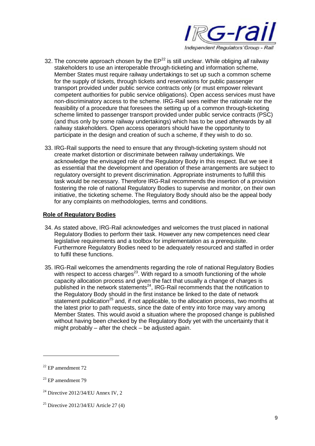

- 32. The concrete approach chosen by the EP<sup>22</sup> is still unclear. While obliging all railway stakeholders to use an interoperable through-ticketing and information scheme, Member States must require railway undertakings to set up such a common scheme for the supply of tickets, through tickets and reservations for public passenger transport provided under public service contracts only (or must empower relevant competent authorities for public service obligations). Open access services must have non-discriminatory access to the scheme. IRG-Rail sees neither the rationale nor the feasibility of a procedure that foresees the setting up of a common through-ticketing scheme limited to passenger transport provided under public service contracts (PSC) (and thus only by some railway undertakings) which has to be used afterwards by all railway stakeholders. Open access operators should have the opportunity to participate in the design and creation of such a scheme, if they wish to do so.
- 33. IRG-Rail supports the need to ensure that any through-ticketing system should not create market distortion or discriminate between railway undertakings. We acknowledge the envisaged role of the Regulatory Body in this respect. But we see it as essential that the development and operation of these arrangements are subject to regulatory oversight to prevent discrimination. Appropriate instruments to fulfill this task would be necessary. Therefore IRG-Rail recommends the insertion of a provision fostering the role of national Regulatory Bodies to supervise and monitor, on their own initiative, the ticketing scheme. The Regulatory Body should also be the appeal body for any complaints on methodologies, terms and conditions.

### **Role of Regulatory Bodies**

- 34. As stated above, IRG-Rail acknowledges and welcomes the trust placed in national Regulatory Bodies to perform their task. However any new competences need clear legislative requirements and a toolbox for implementation as a prerequisite. Furthermore Regulatory Bodies need to be adequately resourced and staffed in order to fulfil these functions.
- 35. IRG-Rail welcomes the amendments regarding the role of national Regulatory Bodies with respect to access charges<sup>23</sup>. With regard to a smooth functioning of the whole capacity allocation process and given the fact that usually a change of charges is published in the network statements<sup>24</sup>, IRG-Rail recommends that the notification to the Regulatory Body should in the first instance be linked to the date of network statement publication<sup>25</sup> and, if not applicable, to the allocation process, two months at the latest prior to path requests, since the date of entry into force may vary among Member States. This would avoid a situation where the proposed change is published without having been checked by the Regulatory Body yet with the uncertainty that it might probably – after the check – be adjusted again.

 $22$  EP amendment 72

 $23$  EP amendment 79

 $24$  Directive 2012/34/EU Annex IV, 2

<sup>&</sup>lt;sup>25</sup> Directive 2012/34/EU Article 27  $(4)$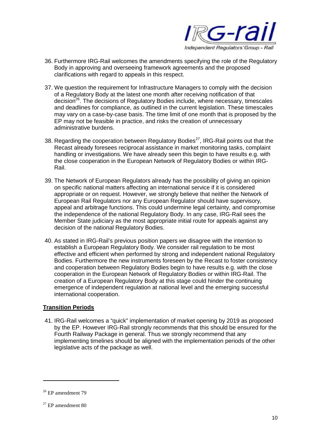

- 36. Furthermore IRG-Rail welcomes the amendments specifying the role of the Regulatory Body in approving and overseeing framework agreements and the proposed clarifications with regard to appeals in this respect.
- 37. We question the requirement for Infrastructure Managers to comply with the decision of a Regulatory Body at the latest one month after receiving notification of that  $decision<sup>26</sup>$ . The decisions of Regulatory Bodies include, where necessary, timescales and deadlines for compliance, as outlined in the current legislation. These timescales may vary on a case-by-case basis. The time limit of one month that is proposed by the EP may not be feasible in practice, and risks the creation of unnecessary administrative burdens.
- 38. Regarding the cooperation between Regulatory Bodies<sup>27</sup>, IRG-Rail points out that the Recast already foresees reciprocal assistance in market monitoring tasks, complaint handling or investigations. We have already seen this begin to have results e.g. with the close cooperation in the European Network of Regulatory Bodies or within IRG-Rail.
- 39. The Network of European Regulators already has the possibility of giving an opinion on specific national matters affecting an international service if it is considered appropriate or on request. However, we strongly believe that neither the Network of European Rail Regulators nor any European Regulator should have supervisory, appeal and arbitrage functions. This could undermine legal certainty, and compromise the independence of the national Regulatory Body. In any case, IRG-Rail sees the Member State judiciary as the most appropriate initial route for appeals against any decision of the national Regulatory Bodies.
- 40. As stated in IRG-Rail's previous position papers we disagree with the intention to establish a European Regulatory Body. We consider rail regulation to be most effective and efficient when performed by strong and independent national Regulatory Bodies. Furthermore the new instruments foreseen by the Recast to foster consistency and cooperation between Regulatory Bodies begin to have results e.g. with the close cooperation in the European Network of Regulatory Bodies or within IRG-Rail. The creation of a European Regulatory Body at this stage could hinder the continuing emergence of independent regulation at national level and the emerging successful international cooperation.

### **Transition Periods**

41. IRG-Rail welcomes a "quick" implementation of market opening by 2019 as proposed by the EP. However IRG-Rail strongly recommends that this should be ensured for the Fourth Railway Package in general. Thus we strongly recommend that any implementing timelines should be aligned with the implementation periods of the other legislative acts of the package as well.

<sup>&</sup>lt;sup>26</sup> EP amendment 79

 $27$  EP amendment 80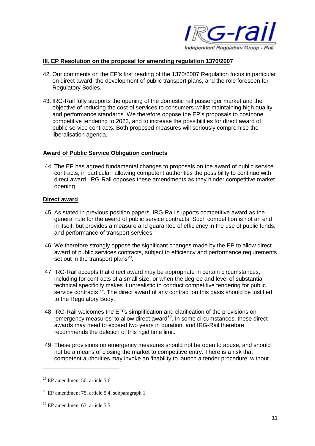

#### **III. EP Resolution on the proposal for amending regulation 1370/2007**

- 42. Our comments on the EP's first reading of the 1370/2007 Regulation focus in particular on direct award, the development of public transport plans, and the role foreseen for Regulatory Bodies.
- 43. IRG-Rail fully supports the opening of the domestic rail passenger market and the objective of reducing the cost of services to consumers whilst maintaining high quality and performance standards. We therefore oppose the EP's proposals to postpone competitive tendering to 2023, and to increase the possibilities for direct award of public service contracts. Both proposed measures will seriously compromise the liberalisation agenda.

#### **Award of Public Service Obligation contracts**

44. The EP has agreed fundamental changes to proposals on the award of public service contracts, in particular: allowing competent authorities the possibility to continue with direct award. IRG-Rail opposes these amendments as they hinder competitive market opening.

#### **Direct award**

- 45. As stated in previous position papers, IRG-Rail supports competitive award as the general rule for the award of public service contracts. Such competition is not an end in itself, but provides a measure and guarantee of efficiency in the use of public funds, and performance of transport services.
- 46. We therefore strongly oppose the significant changes made by the EP to allow direct award of public services contracts, subject to efficiency and performance requirements set out in the transport plans<sup>28</sup>.
- 47. IRG-Rail accepts that direct award may be appropriate in certain circumstances, including for contracts of a small size, or when the degree and level of substantial technical specificity makes it unrealistic to conduct competitive tendering for public service contracts  $^{29}$ . The direct award of any contract on this basis should be justified to the Regulatory Body.
- 48. IRG-Rail welcomes the EP's simplification and clarification of the provisions on 'emergency measures' to allow direct award<sup>30</sup>. In some circumstances, these direct awards may need to exceed two years in duration, and IRG-Rail therefore recommends the deletion of this rigid time limit.
- 49. These provisions on emergency measures should not be open to abuse, and should not be a means of closing the market to competitive entry. There is a risk that competent authorities may invoke an 'inability to launch a tender procedure' without

 $28$  EP amendment 50, article 5.6

 $29$  EP amendment 75, article 5.4, subparagraph 1

 $30$  EP amendment 63, article 5.5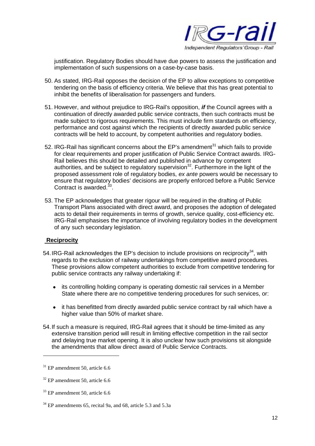

justification. Regulatory Bodies should have due powers to assess the justification and implementation of such suspensions on a case-by-case basis.

- 50. As stated, IRG-Rail opposes the decision of the EP to allow exceptions to competitive tendering on the basis of efficiency criteria. We believe that this has great potential to inhibit the benefits of liberalisation for passengers and funders.
- 51. However, and without prejudice to IRG-Rail's opposition, *if* the Council agrees with a continuation of directly awarded public service contracts, then such contracts must be made subject to rigorous requirements. This must include firm standards on efficiency, performance and cost against which the recipients of directly awarded public service contracts will be held to account, by competent authorities and regulatory bodies.
- 52. IRG-Rail has significant concerns about the EP's amendment<sup>31</sup> which fails to provide for clear requirements and proper justification of Public Service Contract awards. IRG-Rail believes this should be detailed and published in advance by competent authorities, and be subject to regulatory supervision<sup>32</sup>. Furthermore in the light of the proposed assessment role of regulatory bodies, *ex ante* powers would be necessary to ensure that regulatory bodies' decisions are properly enforced before a Public Service Contract is awarded.<sup>33</sup>.
- 53. The EP acknowledges that greater rigour will be required in the drafting of Public Transport Plans associated with direct award, and proposes the adoption of delegated acts to detail their requirements in terms of growth, service quality, cost-efficiency etc. IRG-Rail emphasises the importance of involving regulatory bodies in the development of any such secondary legislation.

### **Reciprocity**

- 54. IRG-Rail acknowledges the EP's decision to include provisions on reciprocity<sup>34</sup>, with regards to the exclusion of railway undertakings from competitive award procedures. These provisions allow competent authorities to exclude from competitive tendering for public service contracts any railway undertaking if:
	- its controlling holding company is operating domestic rail services in a Member State where there are no competitive tendering procedures for such services, or:
	- it has benefitted from directly awarded public service contract by rail which have a higher value than 50% of market share.
- 54.If such a measure is required, IRG-Rail agrees that it should be time-limited as any extensive transition period will result in limiting effective competition in the rail sector and delaying true market opening. It is also unclear how such provisions sit alongside the amendments that allow direct award of Public Service Contracts.

 $31$  EP amendment 50, article 6.6

 $32$  EP amendment 50, article 6.6

 $33$  EP amendment 50, article 6.6

<sup>&</sup>lt;sup>34</sup> EP amendments 65, recital 9a, and 68, article 5.3 and 5.3a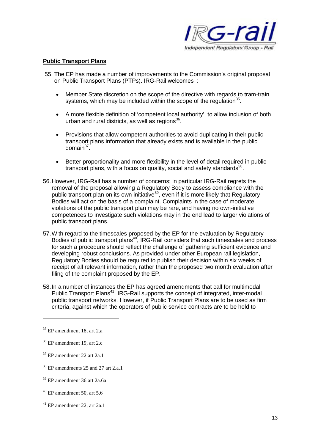

#### **Public Transport Plans**

- 55. The EP has made a number of improvements to the Commission's original proposal on Public Transport Plans (PTPs). IRG-Rail welcomes :
	- Member State discretion on the scope of the directive with regards to tram-train systems, which may be included within the scope of the regulation $35$ .
	- A more flexible definition of 'competent local authority', to allow inclusion of both urban and rural districts, as well as regions<sup>36</sup>.
	- Provisions that allow competent authorities to avoid duplicating in their public transport plans information that already exists and is available in the public domain<sup>37</sup>.
	- Better proportionality and more flexibility in the level of detail required in public transport plans, with a focus on quality, social and safety standards<sup>38</sup>.
- 56.However, IRG-Rail has a number of concerns; in particular IRG-Rail regrets the removal of the proposal allowing a Regulatory Body to assess compliance with the public transport plan on its own initiative<sup>39</sup>, even if it is more likely that Regulatory Bodies will act on the basis of a complaint. Complaints in the case of moderate violations of the public transport plan may be rare, and having no own-initiative competences to investigate such violations may in the end lead to larger violations of public transport plans.
- 57.With regard to the timescales proposed by the EP for the evaluation by Regulatory Bodies of public transport plans<sup>40</sup>, IRG-Rail considers that such timescales and process for such a procedure should reflect the challenge of gathering sufficient evidence and developing robust conclusions. As provided under other European rail legislation, Regulatory Bodies should be required to publish their decision within six weeks of receipt of all relevant information, rather than the proposed two month evaluation after filing of the complaint proposed by the EP.
- 58.In a number of instances the EP has agreed amendments that call for multimodal Public Transport Plans<sup>41</sup>. IRG-Rail supports the concept of integrated, inter-modal public transport networks. However, if Public Transport Plans are to be used as firm criteria, against which the operators of public service contracts are to be held to

<sup>41</sup> EP amendment 22, art 2a.1

<sup>35</sup> EP amendment 18, art 2.a

<sup>36</sup> EP amendment 19, art 2.c

 $37$  EP amendment 22 art 2a.1

<sup>&</sup>lt;sup>38</sup> EP amendments 25 and 27 art 2.a.1

<sup>39</sup> EP amendment 36 art 2a.6a

 $40$  EP amendment 50, art 5.6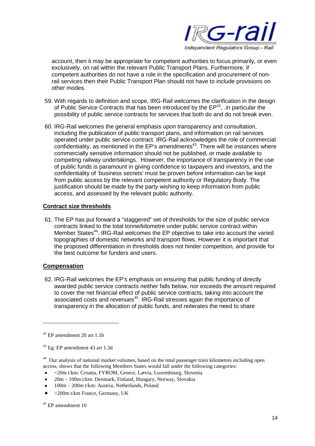

account, then it may be appropriate for competent authorities to focus primarily, or even exclusively, on rail within the relevant Public Transport Plans. Furthermore, if competent authorities do not have a role in the specification and procurement of nonrail services then their Public Transport Plan should not have to include provisions on other modes.

- 59. With regards to definition and scope, IRG-Rail welcomes the clarification in the design of Public Service Contracts that has been introduced by the  $EP^{42}$ , in particular the possibility of public service contracts for services that both do and do not break even.
- 60. IRG-Rail welcomes the general emphasis upon transparency and consultation, including the publication of public transport plans, and information on rail services operated under public service contract. IRG-Rail acknowledges the role of commercial confidentiality, as mentioned in the EP's amendments<sup>43</sup>. There will be instances where commercially sensitive information should not be published, or made available to competing railway undertakings. However, the importance of transparency in the use of public funds is paramount in giving confidence to taxpayers and investors, and the confidentiality of 'business secrets' must be proven before information can be kept from public access by the relevant competent authority or Regulatory Body. The justification should be made by the party wishing to keep information from public access, and assessed by the relevant public authority.

### **Contract size thresholds**

61. The EP has put forward a "staggered" set of thresholds for the size of public service contracts linked to the total tonne/kilometre under public service contract within Member States<sup>44</sup>. IRG-Rail welcomes the EP objective to take into account the varied topographies of domestic networks and transport flows. However it is important that the proposed differentiation in thresholds does not hinder competition, and provide for the best outcome for funders and users.

### **Compensation**

62. IRG-Rail welcomes the EP's emphasis on ensuring that public funding of directly awarded public service contracts neither falls below, nor exceeds the amount required to cover the net financial effect of public service contracts, taking into account the associated costs and revenues<sup>45</sup>. IRG-Rail stresses again the importance of transparency in the allocation of public funds, and reiterates the need to share

- <20m t/km: Croatia, FYROM, Greece, Latvia, Luxembourg, Slovenia
- 20m 100m t/km: Denmark, Finland, Hungary, Norway, Slovakia
- 100m 200m t/km: Austria, Netherlands, Poland
- >200m t/km France, Germany, UK

 $45$  EP amendment 10

<sup>42</sup> EP amendment 20 art 1.1b

<sup>43</sup> Eg: EP amendment 43 art 1.3d

<sup>&</sup>lt;sup>44</sup> Our analysis of national market volumes, based on the total passenger train kilometres including open access, shows that the following Members States would fall under the following categories: